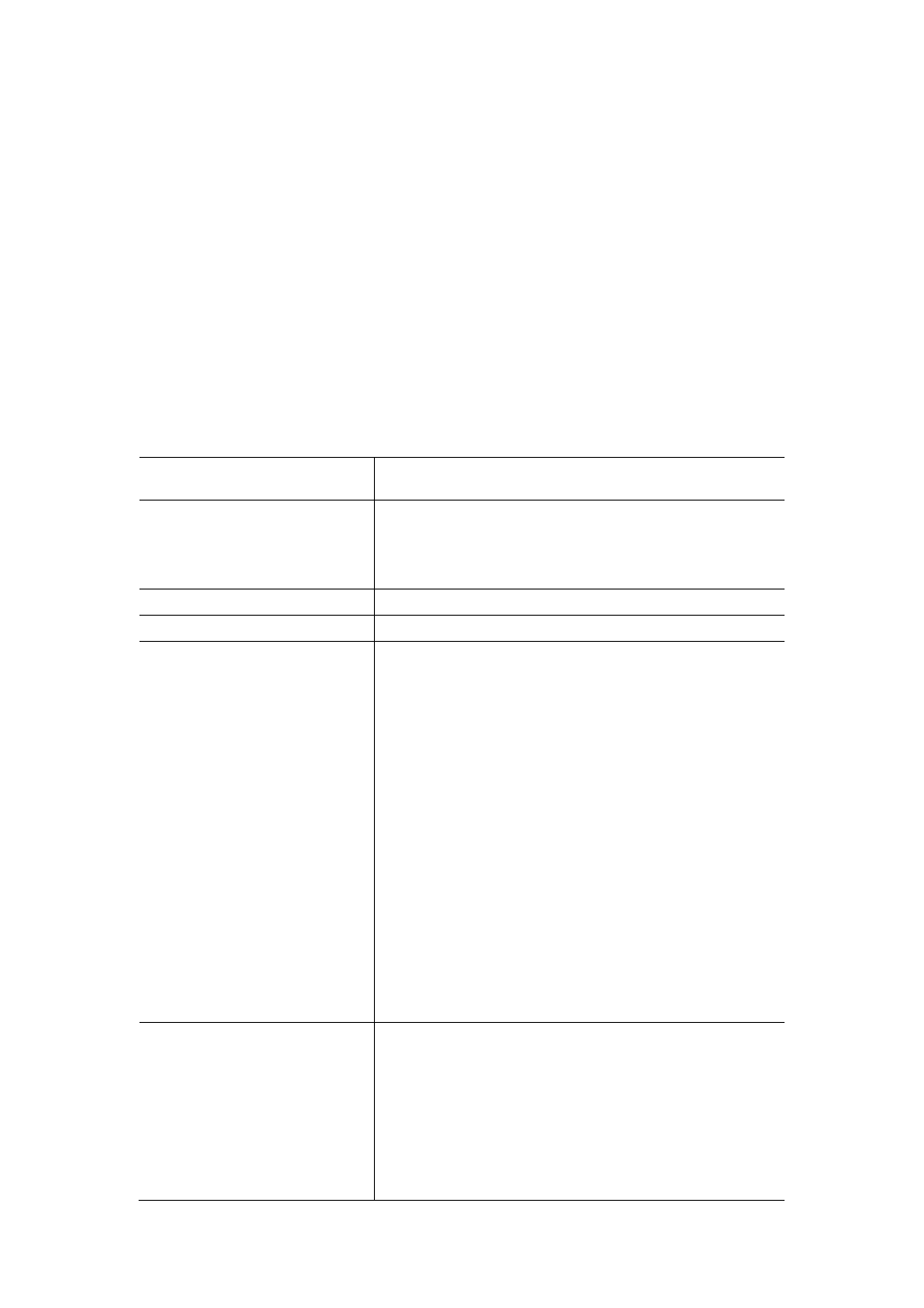#\$%&'()\*" +,\*)'-" %'+./" 01'"1'(.23,\* '-" 4.1" )5'" 6\$16.\*'" .4" 789" :0)1,(\$+0),.3" ;\*''" ! "#\$  $%8'(')$ \*+,&')-.\$/01+,&')-.2'64!"03-" 64=>2

83+'\*\*".)5'1/,\*'",3-,(0)'-?".3+@".3'"\*\$%&'()"41.:"'0(5"21.\$6":0@"%'"61'\*'3)'-<"

| "#\$%&'(!)*+#,!                                                                      | $-!/8/8.0$ -"!"#\$%&'(1                                                                                                                                                                                                                                                                                                                                                                                                                                                                                                                                                                                                                      |
|--------------------------------------------------------------------------------------|----------------------------------------------------------------------------------------------------------------------------------------------------------------------------------------------------------------------------------------------------------------------------------------------------------------------------------------------------------------------------------------------------------------------------------------------------------------------------------------------------------------------------------------------------------------------------------------------------------------------------------------------|
| $-442(324)$                                                                          | $A((.$ \$3),32 $"$<br>$B1,3(6+'''.4''A((. $3), 32)$<br>$C$ , 303(, 0+" $A$ ((.\$3), 32<br>D0302':'3)"A((.\$3),32                                                                                                                                                                                                                                                                                                                                                                                                                                                                                                                             |
| $-2(5^*+, + +46!)$                                                                   | A3)51.6.+.2@                                                                                                                                                                                                                                                                                                                                                                                                                                                                                                                                                                                                                                 |
| $-*578 + +46!$                                                                       | $A1(50'.+.2@$                                                                                                                                                                                                                                                                                                                                                                                                                                                                                                                                                                                                                                |
| $-*(1)$                                                                              | A1<br>A1)"03-"E'*,23<br>A1)"03-"E'*,23";A1)?"F104)"03-"E'*',23><br>A1)"03-"E'*,23G"F1,),(0+"03-"H,*).1,(0+"#)\$-,'*<br>A1)"03-"E'*,23";F1,),(0+"03-"F.3)'l)\$0+"#)\$-,"*><br>A1)"03-"E'*,23";C,3"A1)><br>A1)"03-"E'*,23";J165,("F.::\$3,(0),.3><br>A1)"03-"E'*,23G"H,*).1,(0+"03-"F1,),(0+"#)\$-,'*<br>A1)"03-"E'*,23";B5.).21065@><br>A1)"03-"E'*,23";B5.).21065@L"3*"03-"L,25)"M0*'-"<br>$D'$ -, 0 > "<br>A1)"03-"E'*,23";N'l),+"'E'*,23"><br>A1)"03-"E'*,23";N51'F,:'3*,.30+"E'*,23>"<br>A1)?"F104)"03-"E'*",23<br>$A1$ )', $B''A1$ )''H, * $).1$ @<br>A1)"/,)5"H,*).1@<br>$H, *$ ).1@"03-"A661'(,0),.3".4"A1)<br>$H, *$ ).1 $@$ ".4"A'1) |
| $83 + +46$<br>%&3\$.-'\$40\$*-54).06\$7)'8\$<br>9.: $(-.50.8, \frac{6}{3}, +6)02$ \$ | $M, +.2@$<br>$M, +2$ (M; A-Q03(, 32"M, $+2$ @ ><br>M, .+.2@";H\$:03;3."+.32'1".44'1'-><br>$M,+2@$ ";7\$44,'+-><br>$M, +.2@$ ";#. $(0+°03-°R3Q, 1.3$ :'3)0+><br>M.03@<br># $(0,0+^nM, .+.2@$                                                                                                                                                                                                                                                                                                                                                                                                                                                  |
| $"#\$\%&'()**+), + +-$ ,.%/,0%/1+2\$(#'\$#<br>23.4#\$0                               | $S.+2@$                                                                                                                                                                                                                                                                                                                                                                                                                                                                                                                                                                                                                                      |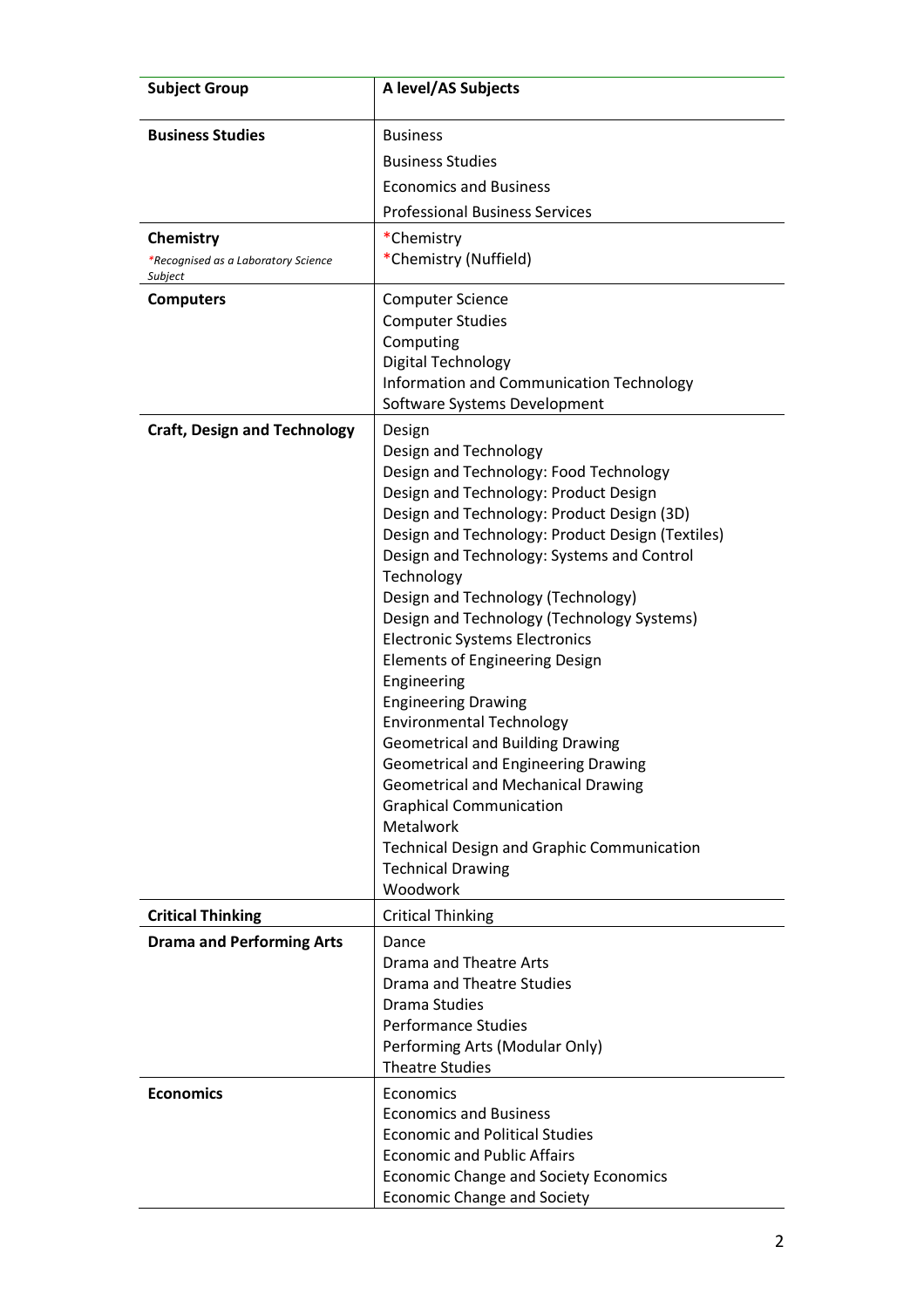| <b>Subject Group</b>                           | A level/AS Subjects                                                                                                                                                                                                                                                                                                                                                                                                                                                                                                                                                                                                                                                                                                                                                                                                      |  |  |  |
|------------------------------------------------|--------------------------------------------------------------------------------------------------------------------------------------------------------------------------------------------------------------------------------------------------------------------------------------------------------------------------------------------------------------------------------------------------------------------------------------------------------------------------------------------------------------------------------------------------------------------------------------------------------------------------------------------------------------------------------------------------------------------------------------------------------------------------------------------------------------------------|--|--|--|
| <b>Business Studies</b>                        | <b>Business</b><br><b>Business Studies</b>                                                                                                                                                                                                                                                                                                                                                                                                                                                                                                                                                                                                                                                                                                                                                                               |  |  |  |
|                                                | <b>Economics and Business</b>                                                                                                                                                                                                                                                                                                                                                                                                                                                                                                                                                                                                                                                                                                                                                                                            |  |  |  |
|                                                | <b>Professional Business Services</b>                                                                                                                                                                                                                                                                                                                                                                                                                                                                                                                                                                                                                                                                                                                                                                                    |  |  |  |
| Chemistry                                      | *Chemistry                                                                                                                                                                                                                                                                                                                                                                                                                                                                                                                                                                                                                                                                                                                                                                                                               |  |  |  |
| *Recognised as a Laboratory Science<br>Subject | *Chemistry (Nuffield)                                                                                                                                                                                                                                                                                                                                                                                                                                                                                                                                                                                                                                                                                                                                                                                                    |  |  |  |
| <b>Computers</b>                               | <b>Computer Science</b><br><b>Computer Studies</b><br>Computing<br>Digital Technology<br>Information and Communication Technology<br>Software Systems Development                                                                                                                                                                                                                                                                                                                                                                                                                                                                                                                                                                                                                                                        |  |  |  |
| <b>Craft, Design and Technology</b>            | Design<br>Design and Technology<br>Design and Technology: Food Technology<br>Design and Technology: Product Design<br>Design and Technology: Product Design (3D)<br>Design and Technology: Product Design (Textiles)<br>Design and Technology: Systems and Control<br>Technology<br>Design and Technology (Technology)<br>Design and Technology (Technology Systems)<br><b>Electronic Systems Electronics</b><br><b>Elements of Engineering Design</b><br>Engineering<br><b>Engineering Drawing</b><br><b>Environmental Technology</b><br><b>Geometrical and Building Drawing</b><br><b>Geometrical and Engineering Drawing</b><br><b>Geometrical and Mechanical Drawing</b><br><b>Graphical Communication</b><br>Metalwork<br><b>Technical Design and Graphic Communication</b><br><b>Technical Drawing</b><br>Woodwork |  |  |  |
| <b>Critical Thinking</b>                       | <b>Critical Thinking</b>                                                                                                                                                                                                                                                                                                                                                                                                                                                                                                                                                                                                                                                                                                                                                                                                 |  |  |  |
| <b>Drama and Performing Arts</b>               | Dance<br>Drama and Theatre Arts<br>Drama and Theatre Studies<br>Drama Studies<br><b>Performance Studies</b><br>Performing Arts (Modular Only)<br><b>Theatre Studies</b>                                                                                                                                                                                                                                                                                                                                                                                                                                                                                                                                                                                                                                                  |  |  |  |
| <b>Economics</b>                               | Economics<br><b>Economics and Business</b><br><b>Economic and Political Studies</b><br><b>Economic and Public Affairs</b><br><b>Economic Change and Society Economics</b><br><b>Economic Change and Society</b>                                                                                                                                                                                                                                                                                                                                                                                                                                                                                                                                                                                                          |  |  |  |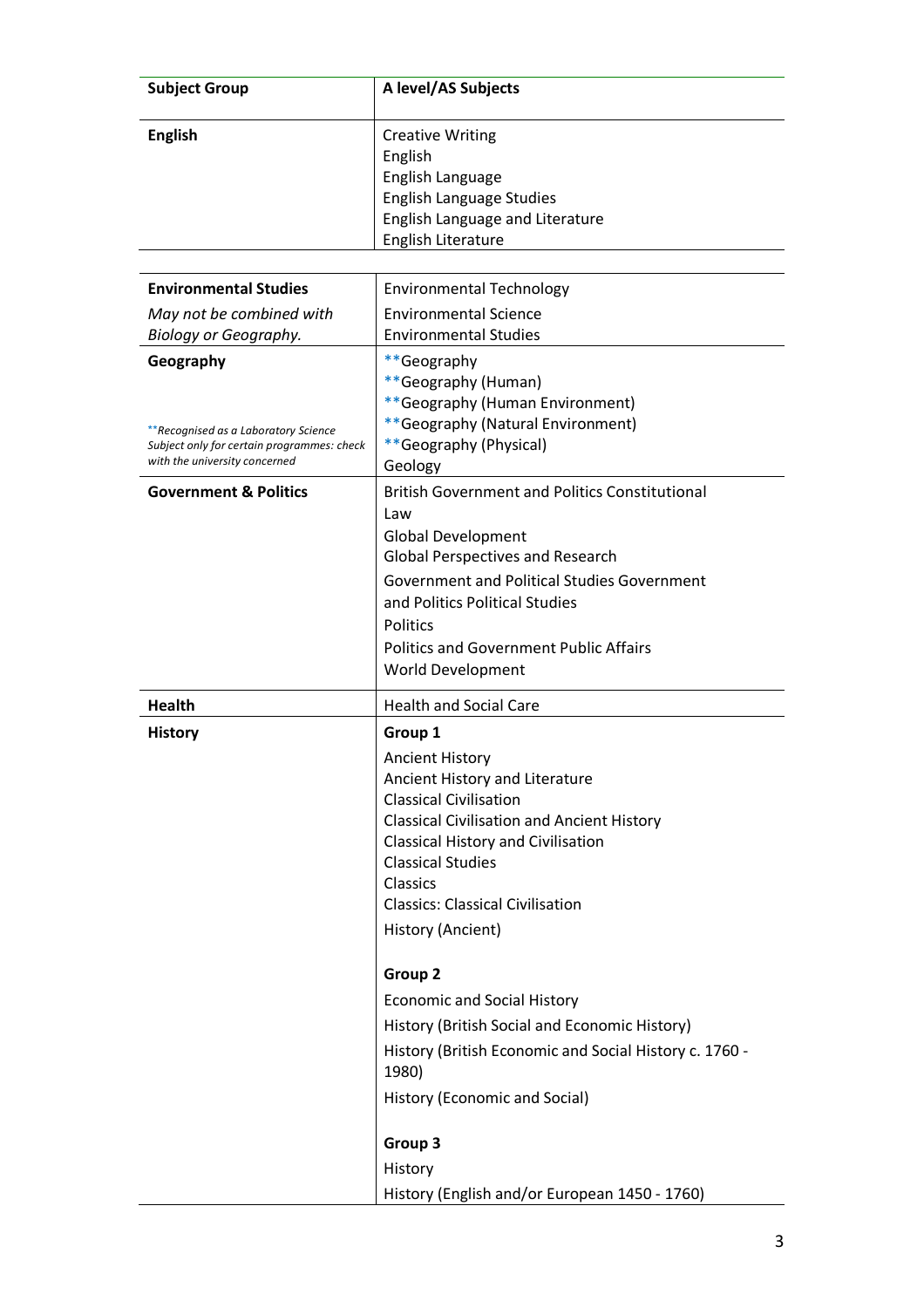| <b>Subject Group</b>                                                                                                             | A level/AS Subjects                                                                                                                                                                                                                                                                                                                                                    |
|----------------------------------------------------------------------------------------------------------------------------------|------------------------------------------------------------------------------------------------------------------------------------------------------------------------------------------------------------------------------------------------------------------------------------------------------------------------------------------------------------------------|
| <b>English</b>                                                                                                                   | <b>Creative Writing</b><br>English<br>English Language<br><b>English Language Studies</b><br>English Language and Literature<br><b>English Literature</b>                                                                                                                                                                                                              |
| <b>Environmental Studies</b>                                                                                                     | <b>Environmental Technology</b>                                                                                                                                                                                                                                                                                                                                        |
| May not be combined with<br>Biology or Geography.                                                                                | <b>Environmental Science</b><br><b>Environmental Studies</b>                                                                                                                                                                                                                                                                                                           |
| Geography<br>**Recognised as a Laboratory Science<br>Subject only for certain programmes: check<br>with the university concerned | **Geography<br>**Geography (Human)<br>**Geography (Human Environment)<br>**Geography (Natural Environment)<br>**Geography (Physical)<br>Geology                                                                                                                                                                                                                        |
| <b>Government &amp; Politics</b>                                                                                                 | <b>British Government and Politics Constitutional</b><br>Law<br>Global Development<br><b>Global Perspectives and Research</b><br><b>Government and Political Studies Government</b><br>and Politics Political Studies<br><b>Politics</b><br><b>Politics and Government Public Affairs</b><br>World Development                                                         |
| <b>Health</b>                                                                                                                    | <b>Health and Social Care</b>                                                                                                                                                                                                                                                                                                                                          |
| <b>History</b>                                                                                                                   | Group 1<br><b>Ancient History</b><br>Ancient History and Literature<br><b>Classical Civilisation</b><br><b>Classical Civilisation and Ancient History</b><br><b>Classical History and Civilisation</b><br><b>Classical Studies</b><br><b>Classics</b><br><b>Classics: Classical Civilisation</b><br>History (Ancient)<br>Group 2<br><b>Economic and Social History</b> |
|                                                                                                                                  | History (British Social and Economic History)<br>History (British Economic and Social History c. 1760 -<br>1980)<br>History (Economic and Social)<br>Group 3<br>History<br>History (English and/or European 1450 - 1760)                                                                                                                                               |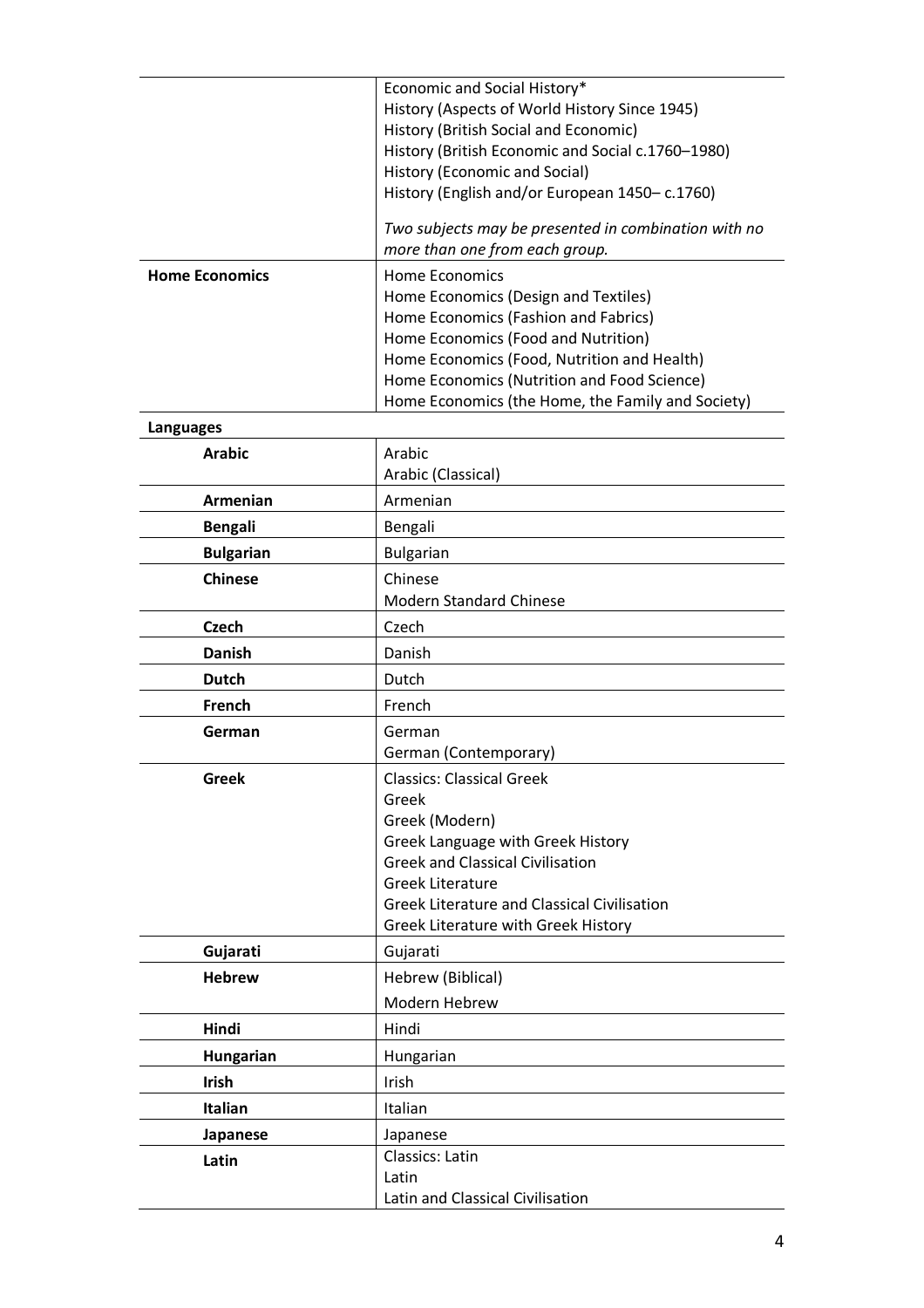|                       | Economic and Social History*                                                                                                                |  |  |  |  |  |
|-----------------------|---------------------------------------------------------------------------------------------------------------------------------------------|--|--|--|--|--|
|                       | History (Aspects of World History Since 1945)<br>History (British Social and Economic)<br>History (British Economic and Social c.1760-1980) |  |  |  |  |  |
|                       |                                                                                                                                             |  |  |  |  |  |
|                       |                                                                                                                                             |  |  |  |  |  |
|                       | History (Economic and Social)                                                                                                               |  |  |  |  |  |
|                       | History (English and/or European 1450–c.1760)                                                                                               |  |  |  |  |  |
|                       | Two subjects may be presented in combination with no                                                                                        |  |  |  |  |  |
|                       | more than one from each group.                                                                                                              |  |  |  |  |  |
| <b>Home Economics</b> | Home Economics                                                                                                                              |  |  |  |  |  |
|                       | Home Economics (Design and Textiles)                                                                                                        |  |  |  |  |  |
|                       | Home Economics (Fashion and Fabrics)                                                                                                        |  |  |  |  |  |
|                       | Home Economics (Food and Nutrition)                                                                                                         |  |  |  |  |  |
|                       | Home Economics (Food, Nutrition and Health)                                                                                                 |  |  |  |  |  |
|                       | Home Economics (Nutrition and Food Science)                                                                                                 |  |  |  |  |  |
|                       | Home Economics (the Home, the Family and Society)                                                                                           |  |  |  |  |  |

## **Languages**

| <b>Arabic</b>    | Arabic<br>Arabic (Classical)                                                                                                                                                                                                                                        |  |  |  |
|------------------|---------------------------------------------------------------------------------------------------------------------------------------------------------------------------------------------------------------------------------------------------------------------|--|--|--|
| Armenian         | Armenian                                                                                                                                                                                                                                                            |  |  |  |
| <b>Bengali</b>   | Bengali                                                                                                                                                                                                                                                             |  |  |  |
| <b>Bulgarian</b> | <b>Bulgarian</b>                                                                                                                                                                                                                                                    |  |  |  |
| <b>Chinese</b>   | Chinese<br><b>Modern Standard Chinese</b>                                                                                                                                                                                                                           |  |  |  |
| <b>Czech</b>     | Czech                                                                                                                                                                                                                                                               |  |  |  |
| <b>Danish</b>    | Danish                                                                                                                                                                                                                                                              |  |  |  |
| <b>Dutch</b>     | Dutch                                                                                                                                                                                                                                                               |  |  |  |
| French           | French                                                                                                                                                                                                                                                              |  |  |  |
| German           | German<br>German (Contemporary)                                                                                                                                                                                                                                     |  |  |  |
| <b>Greek</b>     | <b>Classics: Classical Greek</b><br>Greek<br>Greek (Modern)<br>Greek Language with Greek History<br><b>Greek and Classical Civilisation</b><br><b>Greek Literature</b><br><b>Greek Literature and Classical Civilisation</b><br>Greek Literature with Greek History |  |  |  |
| Gujarati         | Gujarati                                                                                                                                                                                                                                                            |  |  |  |
| <b>Hebrew</b>    | Hebrew (Biblical)<br>Modern Hebrew                                                                                                                                                                                                                                  |  |  |  |
| Hindi            | Hindi                                                                                                                                                                                                                                                               |  |  |  |
| Hungarian        | Hungarian                                                                                                                                                                                                                                                           |  |  |  |
| Irish            | Irish                                                                                                                                                                                                                                                               |  |  |  |
| Italian          | Italian                                                                                                                                                                                                                                                             |  |  |  |
| Japanese         | Japanese                                                                                                                                                                                                                                                            |  |  |  |
| Latin            | Classics: Latin<br>Latin<br>Latin and Classical Civilisation                                                                                                                                                                                                        |  |  |  |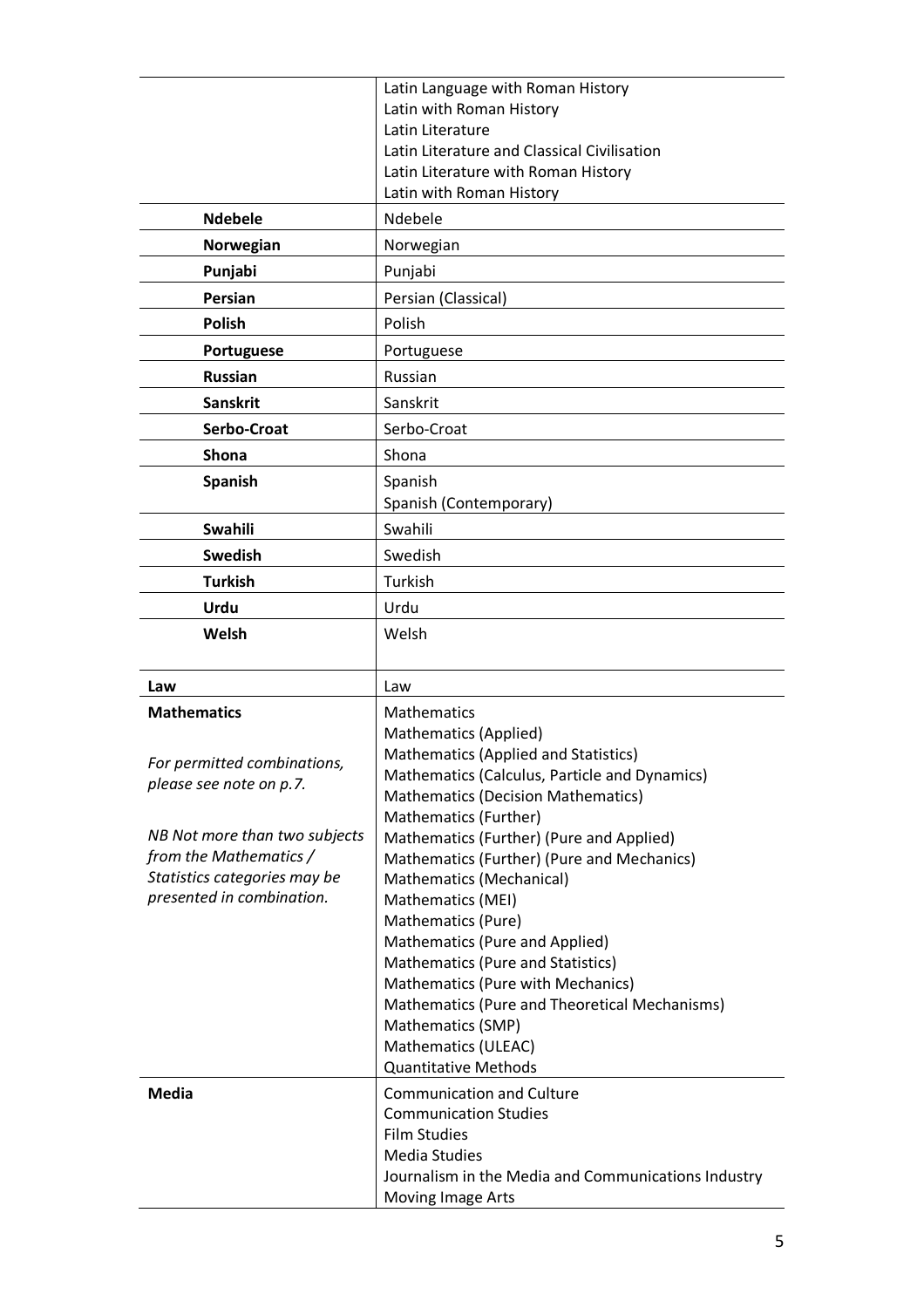|                                                         | Latin Language with Roman History                                                      |  |  |  |  |
|---------------------------------------------------------|----------------------------------------------------------------------------------------|--|--|--|--|
|                                                         | Latin with Roman History                                                               |  |  |  |  |
|                                                         | Latin Literature<br>Latin Literature and Classical Civilisation                        |  |  |  |  |
|                                                         | Latin Literature with Roman History                                                    |  |  |  |  |
|                                                         | Latin with Roman History                                                               |  |  |  |  |
| <b>Ndebele</b>                                          | Ndebele                                                                                |  |  |  |  |
| Norwegian                                               | Norwegian                                                                              |  |  |  |  |
| Punjabi                                                 | Punjabi                                                                                |  |  |  |  |
| <b>Persian</b>                                          | Persian (Classical)                                                                    |  |  |  |  |
| Polish                                                  | Polish                                                                                 |  |  |  |  |
| Portuguese                                              | Portuguese                                                                             |  |  |  |  |
| <b>Russian</b>                                          | Russian                                                                                |  |  |  |  |
| <b>Sanskrit</b>                                         | Sanskrit                                                                               |  |  |  |  |
| <b>Serbo-Croat</b>                                      | Serbo-Croat                                                                            |  |  |  |  |
| <b>Shona</b>                                            | Shona                                                                                  |  |  |  |  |
| <b>Spanish</b>                                          | Spanish                                                                                |  |  |  |  |
|                                                         | Spanish (Contemporary)                                                                 |  |  |  |  |
| Swahili                                                 | Swahili                                                                                |  |  |  |  |
| <b>Swedish</b>                                          | Swedish                                                                                |  |  |  |  |
| <b>Turkish</b>                                          | Turkish                                                                                |  |  |  |  |
| Urdu                                                    | Urdu                                                                                   |  |  |  |  |
| Welsh                                                   | Welsh                                                                                  |  |  |  |  |
|                                                         |                                                                                        |  |  |  |  |
| Law<br><b>Mathematics</b>                               | Law<br><b>Mathematics</b>                                                              |  |  |  |  |
|                                                         | Mathematics (Applied)                                                                  |  |  |  |  |
|                                                         | Mathematics (Applied and Statistics)                                                   |  |  |  |  |
| For permitted combinations,<br>please see note on p.7.  | Mathematics (Calculus, Particle and Dynamics)                                          |  |  |  |  |
|                                                         | <b>Mathematics (Decision Mathematics)</b>                                              |  |  |  |  |
|                                                         | Mathematics (Further)                                                                  |  |  |  |  |
| NB Not more than two subjects<br>from the Mathematics / | Mathematics (Further) (Pure and Applied)<br>Mathematics (Further) (Pure and Mechanics) |  |  |  |  |
| Statistics categories may be                            | Mathematics (Mechanical)                                                               |  |  |  |  |
| presented in combination.                               | Mathematics (MEI)                                                                      |  |  |  |  |
|                                                         | Mathematics (Pure)                                                                     |  |  |  |  |
|                                                         | Mathematics (Pure and Applied)                                                         |  |  |  |  |
|                                                         | Mathematics (Pure and Statistics)                                                      |  |  |  |  |
|                                                         | Mathematics (Pure with Mechanics)                                                      |  |  |  |  |
|                                                         | Mathematics (Pure and Theoretical Mechanisms)                                          |  |  |  |  |
|                                                         | Mathematics (SMP)<br>Mathematics (ULEAC)                                               |  |  |  |  |
|                                                         | <b>Quantitative Methods</b>                                                            |  |  |  |  |
| <b>Media</b>                                            | <b>Communication and Culture</b>                                                       |  |  |  |  |
|                                                         | <b>Communication Studies</b>                                                           |  |  |  |  |
|                                                         | <b>Film Studies</b>                                                                    |  |  |  |  |
|                                                         | <b>Media Studies</b>                                                                   |  |  |  |  |
|                                                         | Journalism in the Media and Communications Industry<br>Moving Image Arts               |  |  |  |  |
|                                                         |                                                                                        |  |  |  |  |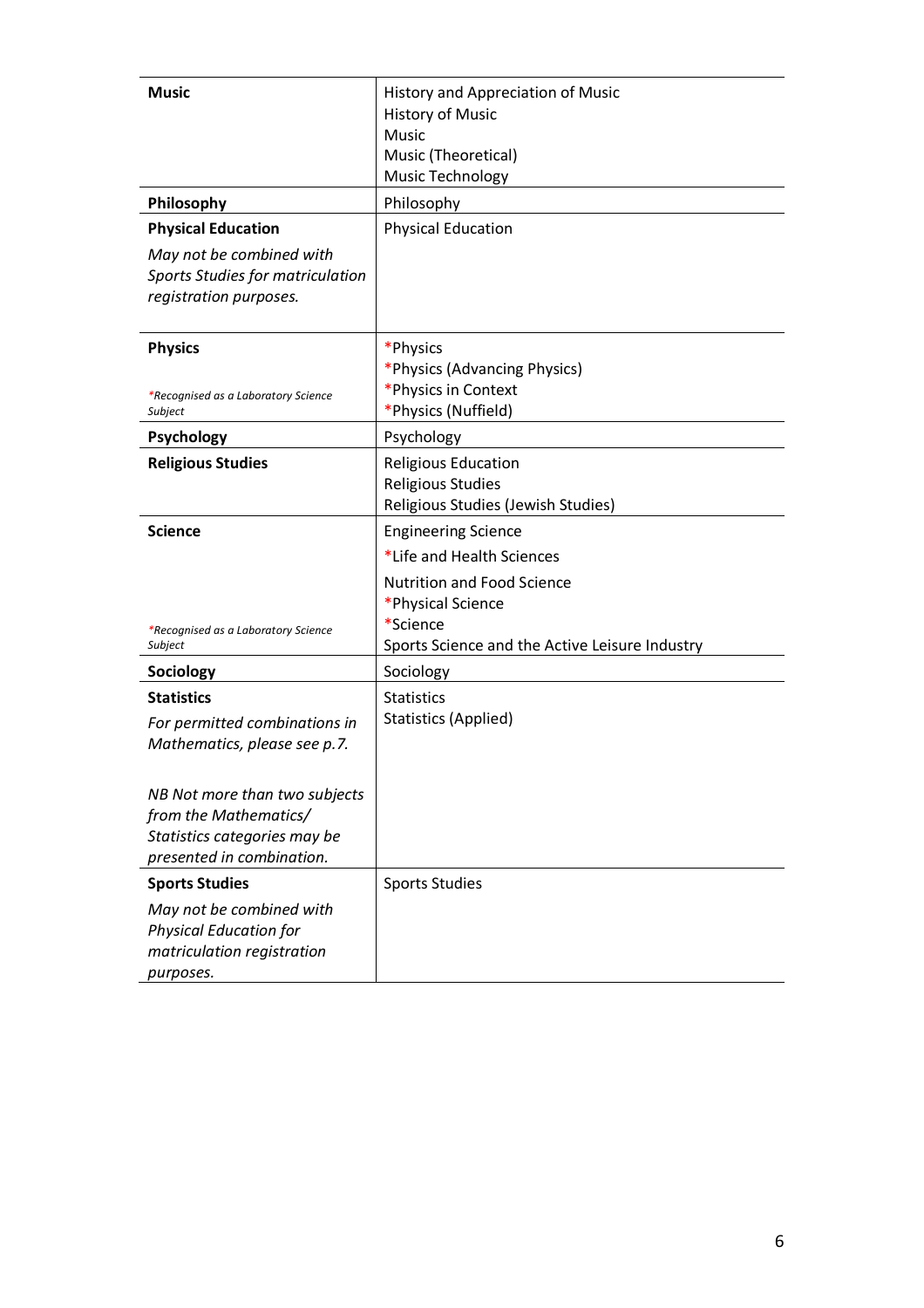| <b>Music</b><br>Philosophy<br><b>Physical Education</b><br>May not be combined with<br>Sports Studies for matriculation<br>registration purposes.                            | History and Appreciation of Music<br><b>History of Music</b><br><b>Music</b><br>Music (Theoretical)<br>Music Technology<br>Philosophy<br><b>Physical Education</b>              |
|------------------------------------------------------------------------------------------------------------------------------------------------------------------------------|---------------------------------------------------------------------------------------------------------------------------------------------------------------------------------|
| <b>Physics</b><br>*Recognised as a Laboratory Science<br>Subject                                                                                                             | *Physics<br>*Physics (Advancing Physics)<br>*Physics in Context<br>*Physics (Nuffield)                                                                                          |
| <b>Psychology</b>                                                                                                                                                            | Psychology                                                                                                                                                                      |
| <b>Religious Studies</b>                                                                                                                                                     | <b>Religious Education</b><br><b>Religious Studies</b><br>Religious Studies (Jewish Studies)                                                                                    |
| <b>Science</b><br>*Recognised as a Laboratory Science<br>Subject                                                                                                             | <b>Engineering Science</b><br>*Life and Health Sciences<br><b>Nutrition and Food Science</b><br>*Physical Science<br>*Science<br>Sports Science and the Active Leisure Industry |
| Sociology                                                                                                                                                                    | Sociology                                                                                                                                                                       |
| <b>Statistics</b><br>For permitted combinations in<br>Mathematics, please see p.7.<br>NB Not more than two subjects<br>from the Mathematics/<br>Statistics categories may be | <b>Statistics</b><br><b>Statistics (Applied)</b>                                                                                                                                |
| presented in combination.                                                                                                                                                    |                                                                                                                                                                                 |
| <b>Sports Studies</b><br>May not be combined with<br><b>Physical Education for</b><br>matriculation registration<br>purposes.                                                | <b>Sports Studies</b>                                                                                                                                                           |